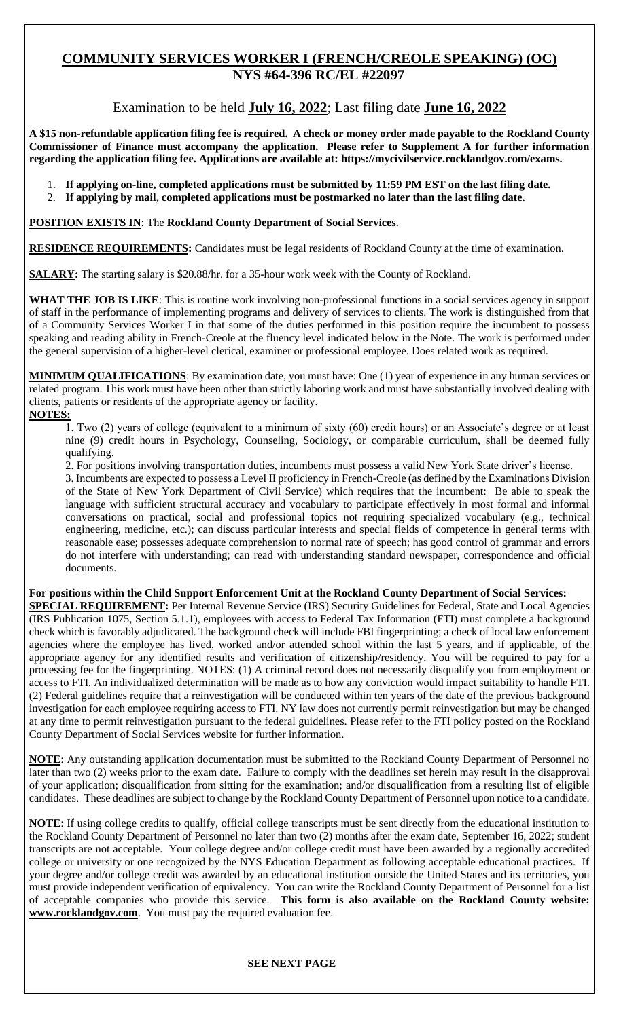# **COMMUNITY SERVICES WORKER I (FRENCH/CREOLE SPEAKING) (OC) NYS #64-396 RC/EL #22097**

# Examination to be held **July 16, 2022**; Last filing date **June 16, 2022**

**A \$15 non-refundable application filing fee is required. A check or money order made payable to the Rockland County Commissioner of Finance must accompany the application. Please refer to Supplement A for further information regarding the application filing fee. Applications are available at: https://mycivilservice.rocklandgov.com/exams.**

- 1. **If applying on-line, completed applications must be submitted by 11:59 PM EST on the last filing date.**
- 2. **If applying by mail, completed applications must be postmarked no later than the last filing date.**

### **POSITION EXISTS IN**: The **Rockland County Department of Social Services**.

**RESIDENCE REQUIREMENTS:** Candidates must be legal residents of Rockland County at the time of examination.

**SALARY:** The starting salary is \$20.88/hr. for a 35-hour work week with the County of Rockland.

**WHAT THE JOB IS LIKE**: This is routine work involving non-professional functions in a social services agency in support of staff in the performance of implementing programs and delivery of services to clients. The work is distinguished from that of a Community Services Worker I in that some of the duties performed in this position require the incumbent to possess speaking and reading ability in French-Creole at the fluency level indicated below in the Note. The work is performed under the general supervision of a higher-level clerical, examiner or professional employee. Does related work as required.

**MINIMUM QUALIFICATIONS**: By examination date, you must have: One (1) year of experience in any human services or related program. This work must have been other than strictly laboring work and must have substantially involved dealing with clients, patients or residents of the appropriate agency or facility. **NOTES:**

### 1. Two (2) years of college (equivalent to a minimum of sixty (60) credit hours) or an Associate's degree or at least nine (9) credit hours in Psychology, Counseling, Sociology, or comparable curriculum, shall be deemed fully qualifying.

2. For positions involving transportation duties, incumbents must possess a valid New York State driver's license.

3. Incumbents are expected to possess a Level II proficiency in French-Creole (as defined by the Examinations Division of the State of New York Department of Civil Service) which requires that the incumbent: Be able to speak the language with sufficient structural accuracy and vocabulary to participate effectively in most formal and informal conversations on practical, social and professional topics not requiring specialized vocabulary (e.g., technical engineering, medicine, etc.); can discuss particular interests and special fields of competence in general terms with reasonable ease; possesses adequate comprehension to normal rate of speech; has good control of grammar and errors do not interfere with understanding; can read with understanding standard newspaper, correspondence and official documents.

#### **For positions within the Child Support Enforcement Unit at the Rockland County Department of Social Services: SPECIAL REQUIREMENT:** Per Internal Revenue Service (IRS) Security Guidelines for Federal, State and Local Agencies (IRS Publication 1075, Section 5.1.1), employees with access to Federal Tax Information (FTI) must complete a background check which is favorably adjudicated. The background check will include FBI fingerprinting; a check of local law enforcement agencies where the employee has lived, worked and/or attended school within the last 5 years, and if applicable, of the appropriate agency for any identified results and verification of citizenship/residency. You will be required to pay for a processing fee for the fingerprinting. NOTES: (1) A criminal record does not necessarily disqualify you from employment or access to FTI. An individualized determination will be made as to how any conviction would impact suitability to handle FTI. (2) Federal guidelines require that a reinvestigation will be conducted within ten years of the date of the previous background investigation for each employee requiring access to FTI. NY law does not currently permit reinvestigation but may be changed at any time to permit reinvestigation pursuant to the federal guidelines. Please refer to the FTI policy posted on the Rockland County Department of Social Services website for further information.

**NOTE**: Any outstanding application documentation must be submitted to the Rockland County Department of Personnel no later than two (2) weeks prior to the exam date. Failure to comply with the deadlines set herein may result in the disapproval of your application; disqualification from sitting for the examination; and/or disqualification from a resulting list of eligible candidates. These deadlines are subject to change by the Rockland County Department of Personnel upon notice to a candidate.

**NOTE**: If using college credits to qualify, official college transcripts must be sent directly from the educational institution to the Rockland County Department of Personnel no later than two (2) months after the exam date, September 16, 2022; student transcripts are not acceptable. Your college degree and/or college credit must have been awarded by a regionally accredited college or university or one recognized by the NYS Education Department as following acceptable educational practices. If your degree and/or college credit was awarded by an educational institution outside the United States and its territories, you must provide independent verification of equivalency. You can write the Rockland County Department of Personnel for a list of acceptable companies who provide this service. **This form is also available on the Rockland County website: www.rocklandgov.com**.You must pay the required evaluation fee.

#### **SEE NEXT PAGE**